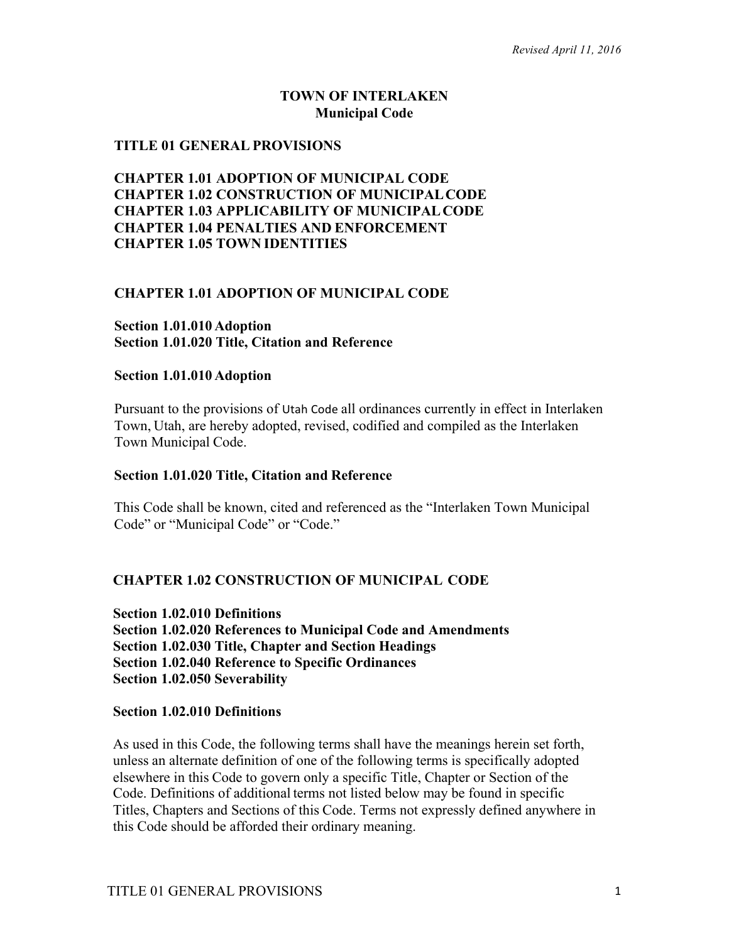# **TOWN OF INTERLAKEN Municipal Code**

## **TITLE 01 GENERAL PROVISIONS**

# **CHAPTER 1.01 ADOPTION OF MUNICIPAL CODE CHAPTER 1.02 CONSTRUCTION OF MUNICIPALCODE CHAPTER 1.03 APPLICABILITY OF MUNICIPALCODE CHAPTER 1.04 PENALTIES AND ENFORCEMENT CHAPTER 1.05 TOWN IDENTITIES**

## **CHAPTER 1.01 ADOPTION OF MUNICIPAL CODE**

#### **Section 1.01.010 Adoption Section 1.01.020 Title, Citation and Reference**

#### **Section 1.01.010 Adoption**

Pursuant to the provisions of Utah Code all ordinances currently in effect in Interlaken Town, Utah, are hereby adopted, revised, codified and compiled as the Interlaken Town Municipal Code.

#### **Section 1.01.020 Title, Citation and Reference**

This Code shall be known, cited and referenced as the "Interlaken Town Municipal Code" or "Municipal Code" or "Code."

## **CHAPTER 1.02 CONSTRUCTION OF MUNICIPAL CODE**

**Section 1.02.010 Definitions Section 1.02.020 References to Municipal Code and Amendments Section 1.02.030 Title, Chapter and Section Headings Section 1.02.040 Reference to Specific Ordinances Section 1.02.050 Severability**

#### **Section 1.02.010 Definitions**

As used in this Code, the following terms shall have the meanings herein set forth, unless an alternate definition of one of the following terms is specifically adopted elsewhere in this Code to govern only a specific Title, Chapter or Section of the Code. Definitions of additional terms not listed below may be found in specific Titles, Chapters and Sections of this Code. Terms not expressly defined anywhere in this Code should be afforded their ordinary meaning.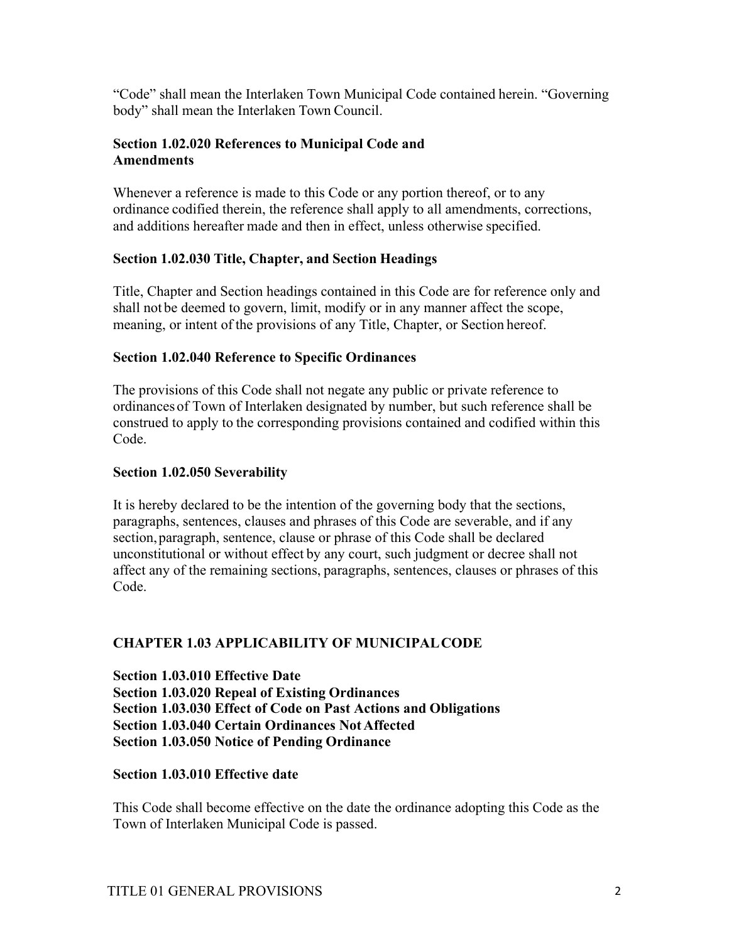"Code" shall mean the Interlaken Town Municipal Code contained herein. "Governing body" shall mean the Interlaken Town Council.

## **Section 1.02.020 References to Municipal Code and Amendments**

Whenever a reference is made to this Code or any portion thereof, or to any ordinance codified therein, the reference shall apply to all amendments, corrections, and additions hereafter made and then in effect, unless otherwise specified.

## **Section 1.02.030 Title, Chapter, and Section Headings**

Title, Chapter and Section headings contained in this Code are for reference only and shall not be deemed to govern, limit, modify or in any manner affect the scope, meaning, or intent of the provisions of any Title, Chapter, or Section hereof.

## **Section 1.02.040 Reference to Specific Ordinances**

The provisions of this Code shall not negate any public or private reference to ordinances of Town of Interlaken designated by number, but such reference shall be construed to apply to the corresponding provisions contained and codified within this Code.

## **Section 1.02.050 Severability**

It is hereby declared to be the intention of the governing body that the sections, paragraphs, sentences, clauses and phrases of this Code are severable, and if any section,paragraph, sentence, clause or phrase of this Code shall be declared unconstitutional or without effect by any court, such judgment or decree shall not affect any of the remaining sections, paragraphs, sentences, clauses or phrases of this Code.

# **CHAPTER 1.03 APPLICABILITY OF MUNICIPALCODE**

**Section 1.03.010 Effective Date Section 1.03.020 Repeal of Existing Ordinances Section 1.03.030 Effect of Code on Past Actions and Obligations Section 1.03.040 Certain Ordinances Not Affected Section 1.03.050 Notice of Pending Ordinance** 

## **Section 1.03.010 Effective date**

This Code shall become effective on the date the ordinance adopting this Code as the Town of Interlaken Municipal Code is passed.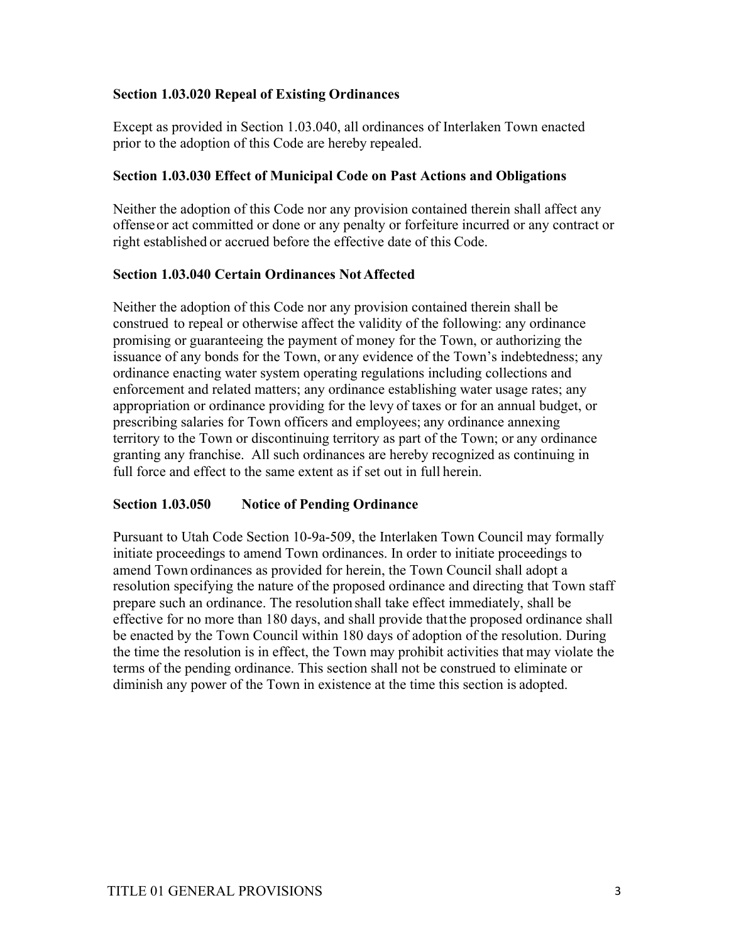# **Section 1.03.020 Repeal of Existing Ordinances**

Except as provided in Section 1.03.040, all ordinances of Interlaken Town enacted prior to the adoption of this Code are hereby repealed.

## **Section 1.03.030 Effect of Municipal Code on Past Actions and Obligations**

Neither the adoption of this Code nor any provision contained therein shall affect any offenseor act committed or done or any penalty or forfeiture incurred or any contract or right established or accrued before the effective date of this Code.

## **Section 1.03.040 Certain Ordinances Not Affected**

Neither the adoption of this Code nor any provision contained therein shall be construed to repeal or otherwise affect the validity of the following: any ordinance promising or guaranteeing the payment of money for the Town, or authorizing the issuance of any bonds for the Town, or any evidence of the Town's indebtedness; any ordinance enacting water system operating regulations including collections and enforcement and related matters; any ordinance establishing water usage rates; any appropriation or ordinance providing for the levy of taxes or for an annual budget, or prescribing salaries for Town officers and employees; any ordinance annexing territory to the Town or discontinuing territory as part of the Town; or any ordinance granting any franchise. All such ordinances are hereby recognized as continuing in full force and effect to the same extent as if set out in full herein.

# **Section 1.03.050 Notice of Pending Ordinance**

Pursuant to Utah Code Section 10-9a-509, the Interlaken Town Council may formally initiate proceedings to amend Town ordinances. In order to initiate proceedings to amend Town ordinances as provided for herein, the Town Council shall adopt a resolution specifying the nature of the proposed ordinance and directing that Town staff prepare such an ordinance. The resolution shall take effect immediately, shall be effective for no more than 180 days, and shall provide thatthe proposed ordinance shall be enacted by the Town Council within 180 days of adoption of the resolution. During the time the resolution is in effect, the Town may prohibit activities that may violate the terms of the pending ordinance. This section shall not be construed to eliminate or diminish any power of the Town in existence at the time this section is adopted.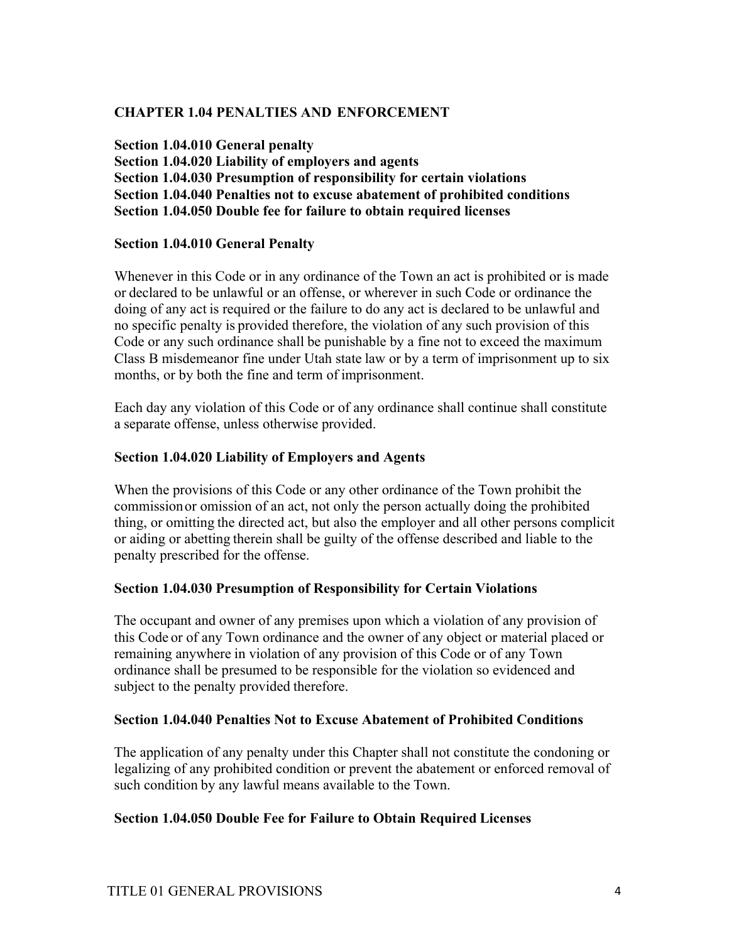# **CHAPTER 1.04 PENALTIES AND ENFORCEMENT**

**Section 1.04.010 General penalty Section 1.04.020 Liability of employers and agents Section 1.04.030 Presumption of responsibility for certain violations Section 1.04.040 Penalties not to excuse abatement of prohibited conditions Section 1.04.050 Double fee for failure to obtain required licenses**

## **Section 1.04.010 General Penalty**

Whenever in this Code or in any ordinance of the Town an act is prohibited or is made or declared to be unlawful or an offense, or wherever in such Code or ordinance the doing of any act is required or the failure to do any act is declared to be unlawful and no specific penalty is provided therefore, the violation of any such provision of this Code or any such ordinance shall be punishable by a fine not to exceed the maximum Class B misdemeanor fine under Utah state law or by a term of imprisonment up to six months, or by both the fine and term of imprisonment.

Each day any violation of this Code or of any ordinance shall continue shall constitute a separate offense, unless otherwise provided.

## **Section 1.04.020 Liability of Employers and Agents**

When the provisions of this Code or any other ordinance of the Town prohibit the commissionor omission of an act, not only the person actually doing the prohibited thing, or omitting the directed act, but also the employer and all other persons complicit or aiding or abetting therein shall be guilty of the offense described and liable to the penalty prescribed for the offense.

## **Section 1.04.030 Presumption of Responsibility for Certain Violations**

The occupant and owner of any premises upon which a violation of any provision of this Code or of any Town ordinance and the owner of any object or material placed or remaining anywhere in violation of any provision of this Code or of any Town ordinance shall be presumed to be responsible for the violation so evidenced and subject to the penalty provided therefore.

## **Section 1.04.040 Penalties Not to Excuse Abatement of Prohibited Conditions**

The application of any penalty under this Chapter shall not constitute the condoning or legalizing of any prohibited condition or prevent the abatement or enforced removal of such condition by any lawful means available to the Town.

## **Section 1.04.050 Double Fee for Failure to Obtain Required Licenses**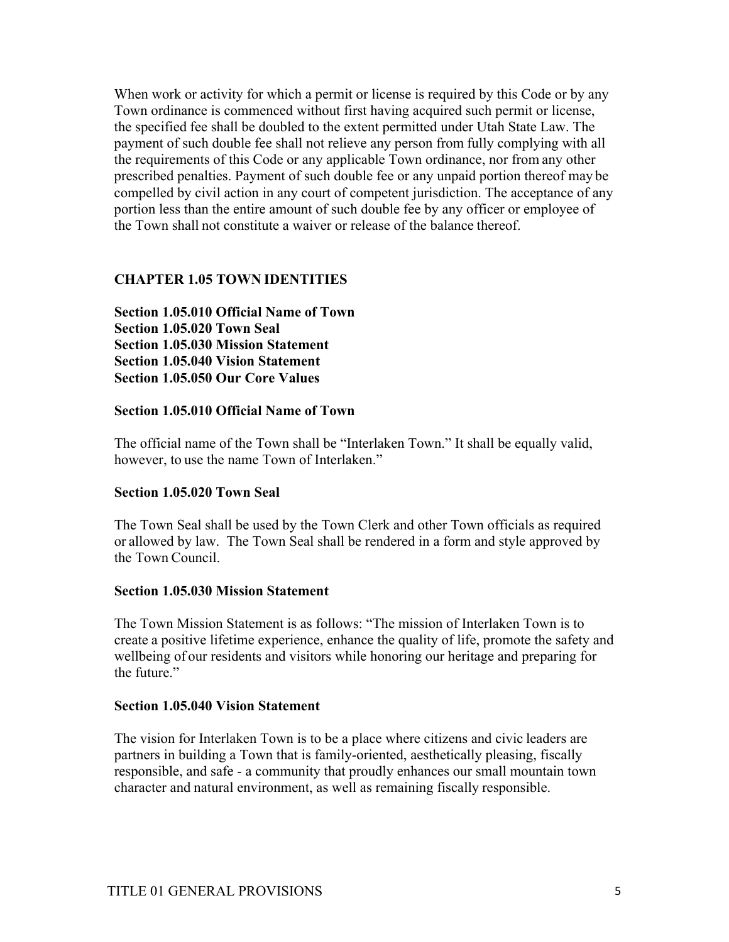When work or activity for which a permit or license is required by this Code or by any Town ordinance is commenced without first having acquired such permit or license, the specified fee shall be doubled to the extent permitted under Utah State Law. The payment of such double fee shall not relieve any person from fully complying with all the requirements of this Code or any applicable Town ordinance, nor from any other prescribed penalties. Payment of such double fee or any unpaid portion thereof may be compelled by civil action in any court of competent jurisdiction. The acceptance of any portion less than the entire amount of such double fee by any officer or employee of the Town shall not constitute a waiver or release of the balance thereof.

## **CHAPTER 1.05 TOWN IDENTITIES**

**Section 1.05.010 Official Name of Town Section 1.05.020 Town Seal Section 1.05.030 Mission Statement Section 1.05.040 Vision Statement Section 1.05.050 Our Core Values**

## **Section 1.05.010 Official Name of Town**

The official name of the Town shall be "Interlaken Town." It shall be equally valid, however, to use the name Town of Interlaken."

## **Section 1.05.020 Town Seal**

The Town Seal shall be used by the Town Clerk and other Town officials as required or allowed by law. The Town Seal shall be rendered in a form and style approved by the Town Council.

#### **Section 1.05.030 Mission Statement**

The Town Mission Statement is as follows: "The mission of Interlaken Town is to create a positive lifetime experience, enhance the quality of life, promote the safety and wellbeing of our residents and visitors while honoring our heritage and preparing for the future."

#### **Section 1.05.040 Vision Statement**

The vision for Interlaken Town is to be a place where citizens and civic leaders are partners in building a Town that is family-oriented, aesthetically pleasing, fiscally responsible, and safe - a community that proudly enhances our small mountain town character and natural environment, as well as remaining fiscally responsible.